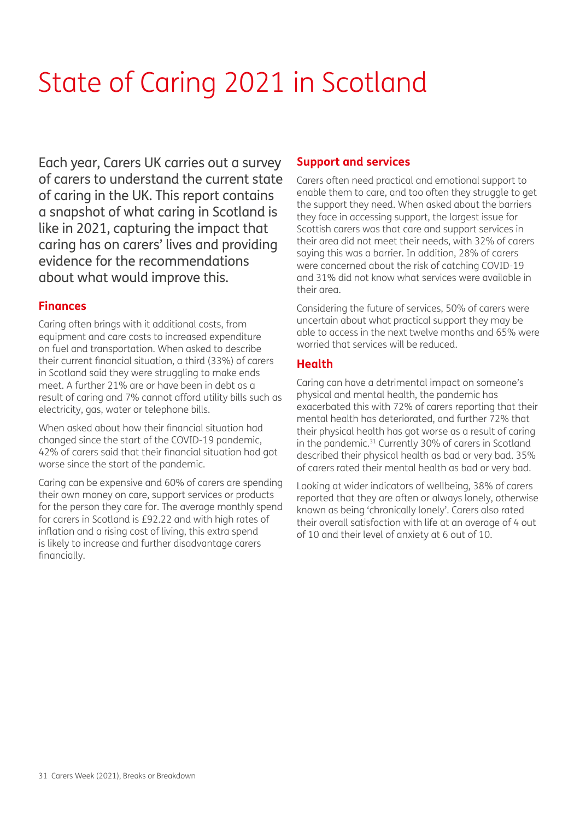# State of Caring 2021 in Scotland

Each year, Carers UK carries out a survey of carers to understand the current state of caring in the UK. This report contains a snapshot of what caring in Scotland is like in 2021, capturing the impact that caring has on carers' lives and providing evidence for the recommendations about what would improve this.

# **Finances**

Caring often brings with it additional costs, from equipment and care costs to increased expenditure on fuel and transportation. When asked to describe their current financial situation, a third (33%) of carers in Scotland said they were struggling to make ends meet. A further 21% are or have been in debt as a result of caring and 7% cannot afford utility bills such as electricity, gas, water or telephone bills.

When asked about how their financial situation had changed since the start of the COVID-19 pandemic, 42% of carers said that their financial situation had got worse since the start of the pandemic.

Caring can be expensive and 60% of carers are spending their own money on care, support services or products for the person they care for. The average monthly spend for carers in Scotland is £92.22 and with high rates of inflation and a rising cost of living, this extra spend is likely to increase and further disadvantage carers financially.

# **Support and services**

Carers often need practical and emotional support to enable them to care, and too often they struggle to get the support they need. When asked about the barriers they face in accessing support, the largest issue for Scottish carers was that care and support services in their area did not meet their needs, with 32% of carers saying this was a barrier. In addition, 28% of carers were concerned about the risk of catching COVID-19 and 31% did not know what services were available in their area.

Considering the future of services, 50% of carers were uncertain about what practical support they may be able to access in the next twelve months and 65% were worried that services will be reduced.

#### **Health**

Caring can have a detrimental impact on someone's physical and mental health, the pandemic has exacerbated this with 72% of carers reporting that their mental health has deteriorated, and further 72% that their physical health has got worse as a result of caring in the pandemic.<sup>31</sup> Currently 30% of carers in Scotland described their physical health as bad or very bad. 35% of carers rated their mental health as bad or very bad.

Looking at wider indicators of wellbeing, 38% of carers reported that they are often or always lonely, otherwise known as being 'chronically lonely'. Carers also rated their overall satisfaction with life at an average of 4 out of 10 and their level of anxiety at 6 out of 10.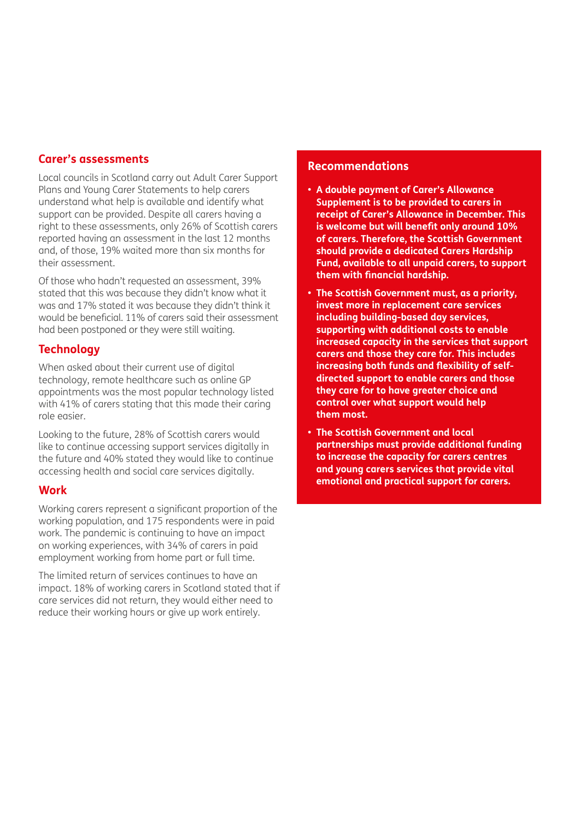#### **Carer's assessments**

Local councils in Scotland carry out Adult Carer Support Plans and Young Carer Statements to help carers understand what help is available and identify what support can be provided. Despite all carers having a right to these assessments, only 26% of Scottish carers reported having an assessment in the last 12 months and, of those, 19% waited more than six months for their assessment.

Of those who hadn't requested an assessment, 39% stated that this was because they didn't know what it was and 17% stated it was because they didn't think it would be beneficial. 11% of carers said their assessment had been postponed or they were still waiting.

# **Technology**

When asked about their current use of digital technology, remote healthcare such as online GP appointments was the most popular technology listed with 41% of carers stating that this made their caring role easier.

Looking to the future, 28% of Scottish carers would like to continue accessing support services digitally in the future and 40% stated they would like to continue accessing health and social care services digitally.

#### **Work**

Working carers represent a significant proportion of the working population, and 175 respondents were in paid work. The pandemic is continuing to have an impact on working experiences, with 34% of carers in paid employment working from home part or full time.

The limited return of services continues to have an impact. 18% of working carers in Scotland stated that if care services did not return, they would either need to reduce their working hours or give up work entirely.

#### **Recommendations**

- **A double payment of Carer's Allowance Supplement is to be provided to carers in receipt of Carer's Allowance in December. This is welcome but will benefit only around 10% of carers. Therefore, the Scottish Government should provide a dedicated Carers Hardship Fund, available to all unpaid carers, to support them with financial hardship.**
- **The Scottish Government must, as a priority, invest more in replacement care services including building-based day services, supporting with additional costs to enable increased capacity in the services that support carers and those they care for. This includes increasing both funds and flexibility of selfdirected support to enable carers and those they care for to have greater choice and control over what support would help them most.**
- **The Scottish Government and local partnerships must provide additional funding to increase the capacity for carers centres and young carers services that provide vital emotional and practical support for carers.**